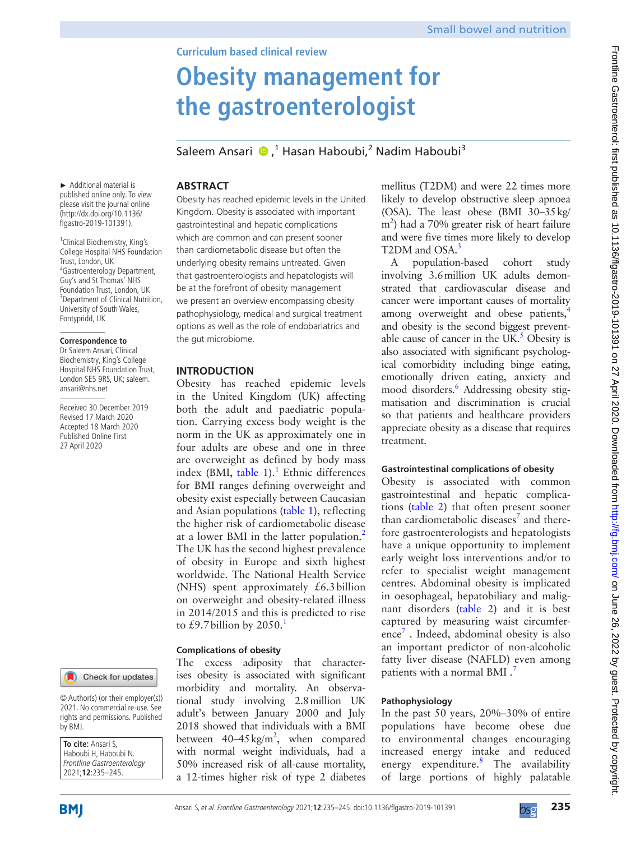# **Obesity management for the gastroenterologist**

Saleem Ansari <sup>®</sup>,<sup>1</sup> Hasan Haboubi,<sup>2</sup> Nadim Haboubi<sup>3</sup>

**Abstract**

► Additional material is published online only. To view please visit the journal online ([http://dx.doi.org/10.1136/](http://dx.doi.org/10.1136/flgastro-2019-101391) [flgastro-2019-101391\)](http://dx.doi.org/10.1136/flgastro-2019-101391).

<sup>1</sup> Clinical Biochemistry, King's College Hospital NHS Foundation Trust, London, UK <sup>2</sup> Gastroenterology Department, Guy's and St Thomas' NHS Foundation Trust, London, UK <sup>3</sup> Department of Clinical Nutrition, University of South Wales, Pontypridd, UK

#### **Correspondence to**

Dr Saleem Ansari, Clinical Biochemistry, King's College Hospital NHS Foundation Trust, London SE5 9RS, UK; saleem. ansari@nhs.net

Received 30 December 2019 Revised 17 March 2020 Accepted 18 March 2020 Published Online First 27 April 2020



© Author(s) (or their employer(s)) 2021. No commercial re-use. See rights and permissions. Published by BMJ.

**To cite:** Ansari S, Haboubi H, Haboubi N. Frontline Gastroenterology 2021;**12**:235–245.

Obesity has reached epidemic levels in the United Kingdom. Obesity is associated with important gastrointestinal and hepatic complications which are common and can present sooner than cardiometabolic disease but often the underlying obesity remains untreated. Given that gastroenterologists and hepatologists will be at the forefront of obesity management we present an overview encompassing obesity pathophysiology, medical and surgical treatment options as well as the role of endobariatrics and the gut microbiome.

# **Introduction**

Obesity has reached epidemic levels in the United Kingdom (UK) affecting both the adult and paediatric population. Carrying excess body weight is the norm in the UK as approximately one in four adults are obese and one in three are overweight as defined by body mass index (BMI, [table](#page-2-0)  $1$ ).<sup>1</sup> Ethnic differences for BMI ranges defining overweight and obesity exist especially between Caucasian and Asian populations [\(table](#page-2-0) 1), reflecting the higher risk of cardiometabolic disease at a lower BMI in the latter population.<sup>[2](#page-9-1)</sup> The UK has the second highest prevalence of obesity in Europe and sixth highest worldwide. The National Health Service (NHS) spent approximately  $£6.3$  billion on overweight and obesity-related illness in 2014/2015 and this is predicted to rise to £9.7 billion by 2050.<sup>1</sup>

# **Complications of obesity**

The excess adiposity that characterises obesity is associated with significant morbidity and mortality. An observational study involving 2.8million UK adult's between January 2000 and July 2018 showed that individuals with a BMI between  $40-45 \text{ kg/m}^2$ , when compared with normal weight individuals, had a 50% increased risk of all-cause mortality, a 12-times higher risk of type 2 diabetes

mellitus (T2DM) and were 22 times more likely to develop obstructive sleep apnoea (OSA). The least obese (BMI 30–35kg/ m<sup>2</sup>) had a 70% greater risk of heart failure and were five times more likely to develop T<sub>2</sub>DM and OSA.<sup>3</sup>

A population-based cohort study involving 3.6million UK adults demonstrated that cardiovascular disease and cancer were important causes of mortality among overweight and obese patients, and obesity is the second biggest preventable cause of cancer in the UK. $<sup>5</sup>$  $<sup>5</sup>$  $<sup>5</sup>$  Obesity is</sup> also associated with significant psychological comorbidity including binge eating, emotionally driven eating, anxiety and mood disorders.<sup>[6](#page-10-1)</sup> Addressing obesity stigmatisation and discrimination is crucial so that patients and healthcare providers appreciate obesity as a disease that requires treatment.

# **Gastrointestinal complications of obesity**

Obesity is associated with common gastrointestinal and hepatic complications ([table](#page-2-1) 2) that often present sooner than cardiometabolic diseases $<sup>7</sup>$  $<sup>7</sup>$  $<sup>7</sup>$  and there-</sup> fore gastroenterologists and hepatologists have a unique opportunity to implement early weight loss interventions and/or to refer to specialist weight management centres. Abdominal obesity is implicated in oesophageal, hepatobiliary and malignant disorders ([table](#page-2-1) 2) and it is best captured by measuring waist circumferenc[e7](#page-10-2) . Indeed, abdominal obesity is also an important predictor of non-alcoholic fatty liver disease (NAFLD) even among patients with a normal BMI.<sup>7</sup>

# **Pathophysiology**

In the past 50 years, 20%–30% of entire populations have become obese due to environmental changes encouraging increased energy intake and reduced energy expenditure.<sup>[8](#page-10-3)</sup> The availability of large portions of highly palatable

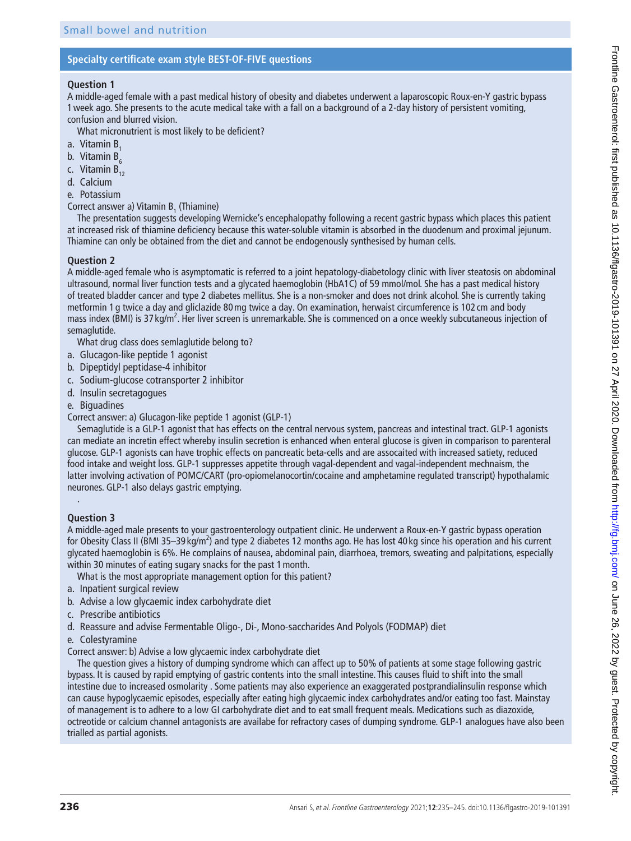### **Specialty certificate exam style BEST-OF-FIVE questions**

#### **Question 1**

A middle-aged female with a past medical history of obesity and diabetes underwent a laparoscopic Roux-en-Y gastric bypass 1week ago. She presents to the acute medical take with a fall on a background of a 2-day history of persistent vomiting, confusion and blurred vision.

What micronutrient is most likely to be deficient?

- a. Vitamin B.
- b. Vitamin  $B<sub>c</sub>$
- c. Vitamin  $B_{12}$
- d. Calcium
- e. Potassium
- Correct answer a) Vitamin  $B_1$  (Thiamine)

The presentation suggests developing Wernicke's encephalopathy following a recent gastric bypass which places this patient at increased risk of thiamine deficiency because this water-soluble vitamin is absorbed in the duodenum and proximal jejunum. Thiamine can only be obtained from the diet and cannot be endogenously synthesised by human cells.

### **Question 2**

A middle-aged female who is asymptomatic is referred to a joint hepatology-diabetology clinic with liver steatosis on abdominal ultrasound, normal liver function tests and a glycated haemoglobin (HbA1C) of 59 mmol/mol. She has a past medical history of treated bladder cancer and type 2 diabetes mellitus. She is a non-smoker and does not drink alcohol. She is currently taking metformin 1 g twice a day and gliclazide 80mg twice a day. On examination, herwaist circumference is 102 cm and body mass index (BMI) is 37 kg/m<sup>2</sup>. Her liver screen is unremarkable. She is commenced on a once weekly subcutaneous injection of semaglutide.

What drug class does semlaglutide belong to?

- a. Glucagon-like peptide 1 agonist
- b. Dipeptidyl peptidase-4 inhibitor
- c. Sodium-glucose cotransporter 2 inhibitor
- d. Insulin secretagogues
- e. Biguadines
- Correct answer: a) Glucagon-like peptide 1 agonist (GLP-1)

Semaglutide is a GLP-1 agonist that has effects on the central nervous system, pancreas and intestinal tract. GLP-1 agonists can mediate an incretin effect whereby insulin secretion is enhanced when enteral glucose is given in comparison to parenteral glucose. GLP-1 agonists can have trophic effects on pancreatic beta-cells and are assocaited with increased satiety, reduced food intake and weight loss. GLP-1 suppresses appetite through vagal-dependent and vagal-independent mechnaism, the latter involving activation of POMC/CART (pro-opiomelanocortin/cocaine and amphetamine regulated transcript) hypothalamic neurones. GLP-1 also delays gastric emptying.

# **Question 3**

.

A middle-aged male presents to your gastroenterology outpatient clinic. He underwent a Roux-en-Y gastric bypass operation for Obesity Class II (BMI 35–39 kg/m<sup>2</sup>) and type 2 diabetes 12 months ago. He has lost 40 kg since his operation and his current glycated haemoglobin is 6%. He complains of nausea, abdominal pain, diarrhoea, tremors, sweating and palpitations, especially within 30 minutes of eating sugary snacks for the past 1month.

What is the most appropriate management option for this patient?

- a. Inpatient surgical review
- b. Advise a low glycaemic index carbohydrate diet
- c. Prescribe antibiotics
- d. Reassure and advise Fermentable Oligo-, Di-, Mono-saccharides And Polyols (FODMAP) diet
- e. Colestyramine

Correct answer: b) Advise a low glycaemic index carbohydrate diet

The question gives a history of dumping syndrome which can affect up to 50% of patients at some stage following gastric bypass. It is caused by rapid emptying of gastric contents into the small intestine. This causes fluid to shift into the small intestine due to increased osmolarity . Some patients may also experience an exaggerated postprandialinsulin response which can cause hypoglycaemic episodes, especially after eating high glycaemic index carbohydrates and/or eating too fast. Mainstay of management is to adhere to a low GI carbohydrate diet and to eat small frequent meals. Medications such as diazoxide, octreotide or calcium channel antagonists are availabe for refractory cases of dumping syndrome. GLP-1 analogues have also been trialled as partial agonists.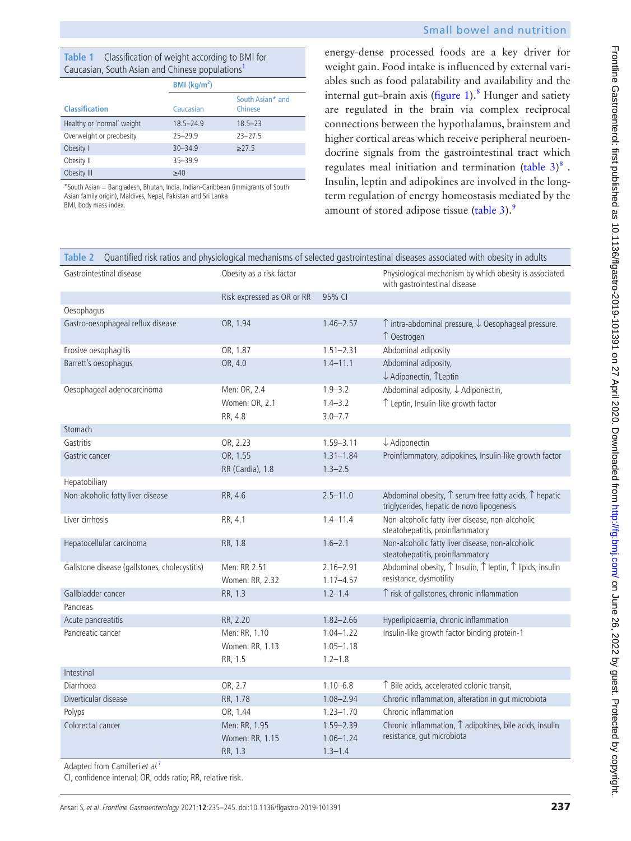| energy-dense processed foods are a key driver for                   |
|---------------------------------------------------------------------|
| weight gain. Food intake is influenced by external vari-            |
| ables such as food palatability and availability and the            |
| internal gut–brain axis (figure 1). <sup>8</sup> Hunger and satiety |
| are regulated in the brain via complex reciprocal                   |
| connections between the hypothalamus, brainstem and                 |
| higher cortical areas which receive peripheral neuroen-             |
| docrine signals from the gastrointestinal tract which               |
| regulates meal initiation and termination (table $3)^8$ .           |
| Insulin, leptin and adipokines are involved in the long-            |
| term regulation of energy homeostasis mediated by the               |
| amount of stored adipose tissue (table 3). <sup>9</sup>             |

<span id="page-2-1"></span>

| Quantified risk ratios and physiological mechanisms of selected gastrointestinal diseases associated with obesity in adults<br>Table 2 |                                             |                                               |                                                                                                                        |  |  |
|----------------------------------------------------------------------------------------------------------------------------------------|---------------------------------------------|-----------------------------------------------|------------------------------------------------------------------------------------------------------------------------|--|--|
| Gastrointestinal disease                                                                                                               | Obesity as a risk factor                    |                                               | Physiological mechanism by which obesity is associated<br>with gastrointestinal disease                                |  |  |
|                                                                                                                                        | Risk expressed as OR or RR                  | 95% CI                                        |                                                                                                                        |  |  |
| Oesophagus                                                                                                                             |                                             |                                               |                                                                                                                        |  |  |
| Gastro-oesophageal reflux disease                                                                                                      | OR, 1.94                                    | $1.46 - 2.57$                                 | $\uparrow$ intra-abdominal pressure, $\downarrow$ Oesophageal pressure.<br>↑ Oestrogen                                 |  |  |
| Erosive oesophagitis                                                                                                                   | OR, 1.87                                    | $1.51 - 2.31$                                 | Abdominal adiposity                                                                                                    |  |  |
| Barrett's oesophagus                                                                                                                   | OR, 4.0                                     | $1.4 - 11.1$                                  | Abdominal adiposity,<br>↓ Adiponectin, TLeptin                                                                         |  |  |
| Oesophageal adenocarcinoma                                                                                                             | Men: OR, 2.4<br>Women: OR, 2.1<br>RR, 4.8   | $1.9 - 3.2$<br>$1.4 - 3.2$<br>$3.0 - 7.7$     | Abdominal adiposity, $\downarrow$ Adiponectin,<br>↑ Leptin, Insulin-like growth factor                                 |  |  |
| Stomach                                                                                                                                |                                             |                                               |                                                                                                                        |  |  |
| Gastritis                                                                                                                              | OR, 2.23                                    | $1.59 - 3.11$                                 | $\downarrow$ Adiponectin                                                                                               |  |  |
| Gastric cancer                                                                                                                         | OR, 1.55<br>RR (Cardia), 1.8                | $1.31 - 1.84$<br>$1.3 - 2.5$                  | Proinflammatory, adipokines, Insulin-like growth factor                                                                |  |  |
| Hepatobiliary                                                                                                                          |                                             |                                               |                                                                                                                        |  |  |
| Non-alcoholic fatty liver disease                                                                                                      | RR, 4.6                                     | $2.5 - 11.0$                                  | Abdominal obesity, $\uparrow$ serum free fatty acids, $\uparrow$ hepatic<br>triglycerides, hepatic de novo lipogenesis |  |  |
| Liver cirrhosis                                                                                                                        | RR, 4.1                                     | $1.4 - 11.4$                                  | Non-alcoholic fatty liver disease, non-alcoholic<br>steatohepatitis, proinflammatory                                   |  |  |
| Hepatocellular carcinoma                                                                                                               | RR, 1.8                                     | $1.6 - 2.1$                                   | Non-alcoholic fatty liver disease, non-alcoholic<br>steatohepatitis, proinflammatory                                   |  |  |
| Gallstone disease (gallstones, cholecystitis)                                                                                          | Men: RR 2.51<br>Women: RR, 2.32             | $2.16 - 2.91$<br>$1.17 - 4.57$                | Abdominal obesity, $\uparrow$ Insulin, $\uparrow$ leptin, $\uparrow$ lipids, insulin<br>resistance, dysmotility        |  |  |
| Gallbladder cancer                                                                                                                     | RR, 1.3                                     | $1.2 - 1.4$                                   | ↑ risk of gallstones, chronic inflammation                                                                             |  |  |
| Pancreas                                                                                                                               |                                             |                                               |                                                                                                                        |  |  |
| Acute pancreatitis                                                                                                                     | RR, 2.20                                    | $1.82 - 2.66$                                 | Hyperlipidaemia, chronic inflammation                                                                                  |  |  |
| Pancreatic cancer                                                                                                                      | Men: RR, 1.10<br>Women: RR, 1.13<br>RR, 1.5 | $1.04 - 1.22$<br>$1.05 - 1.18$<br>$1.2 - 1.8$ | Insulin-like growth factor binding protein-1                                                                           |  |  |
| Intestinal                                                                                                                             |                                             |                                               |                                                                                                                        |  |  |
| Diarrhoea                                                                                                                              | OR, 2.7                                     | $1.10 - 6.8$                                  | ↑ Bile acids, accelerated colonic transit,                                                                             |  |  |
| Diverticular disease                                                                                                                   | RR, 1.78                                    | $1.08 - 2.94$                                 | Chronic inflammation, alteration in gut microbiota                                                                     |  |  |
| Polyps                                                                                                                                 | OR, 1.44                                    | $1.23 - 1.70$                                 | Chronic inflammation                                                                                                   |  |  |
| Colorectal cancer                                                                                                                      | Men: RR, 1.95<br>Women: RR, 1.15<br>RR, 1.3 | $1.59 - 2.39$<br>$1.06 - 1.24$<br>$1.3 - 1.4$ | Chronic inflammation, $\uparrow$ adipokines, bile acids, insulin<br>resistance, gut microbiota                         |  |  |

Adapted from Camilleri et al.<sup>[7](#page-10-2)</sup>

CI, confidence interval; OR, odds ratio; RR, relative risk.

<span id="page-2-0"></span>**Table 1** Classification of weight according to BMI for Caucasian, South Asian and Chinese populations[1](#page-9-0)

Healthy or 'normal' weight 18.5–24.9 18.5–23 Overweight or preobesity 25-29.9 23-27.5 Obesity I  $30-34.9$   $\geq 27.5$ 

Obesity II 35–39.9 Obesity III  $≥40$ 

Asian family origin), Maldives, Nepal, Pakistan and Sri Lanka

**BMI (kg/m<sup>2</sup> )**

South Asian**\*** and Chinese

Caucasian

\*South Asian = Bangladesh, Bhutan, India, Indian-Caribbean (immigrants of South

**Classification**

BMI, body mass index.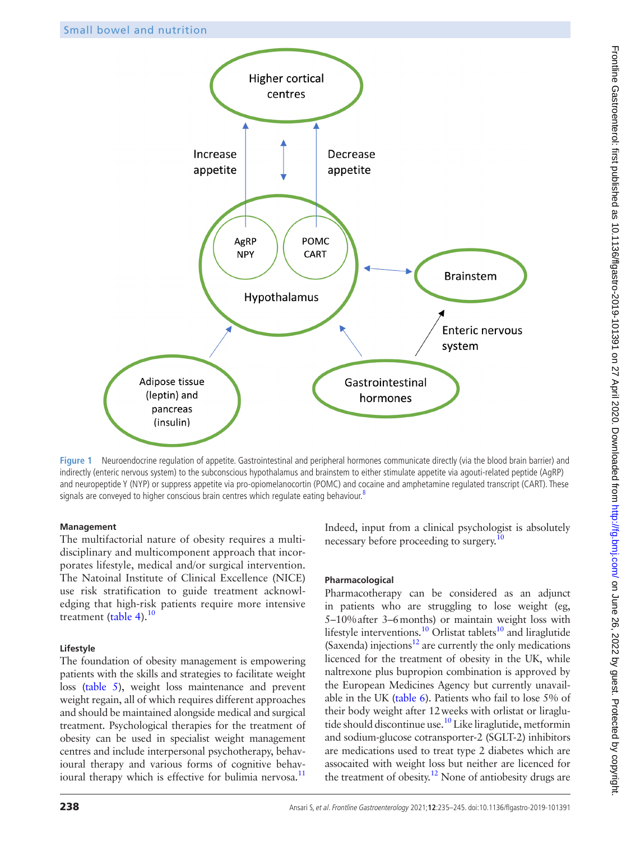

<span id="page-3-0"></span>**Figure 1** Neuroendocrine regulation of appetite. Gastrointestinal and peripheral hormones communicate directly (via the blood brain barrier) and indirectly (enteric nervous system) to the subconscious hypothalamus and brainstem to either stimulate appetite via agouti-related peptide (AgRP) and neuropeptide Y (NYP) or suppress appetite via pro-opiomelanocortin (POMC) and cocaine and amphetamine regulated transcript (CART). These signals are conveyed to higher conscious brain centres which regulate eating behaviour.<sup>8</sup>

#### **Management**

The multifactorial nature of obesity requires a multidisciplinary and multicomponent approach that incorporates lifestyle, medical and/or surgical intervention. The Natoinal Institute of Clinical Excellence (NICE) use risk stratification to guide treatment acknowledging that high-risk patients require more intensive treatment [\(table](#page-4-1) 4).<sup>10</sup>

#### **Lifestyle**

The foundation of obesity management is empowering patients with the skills and strategies to facilitate weight loss ([table](#page-5-0) 5), weight loss maintenance and prevent weight regain, all of which requires different approaches and should be maintained alongside medical and surgical treatment. Psychological therapies for the treatment of obesity can be used in specialist weight management centres and include interpersonal psychotherapy, behavioural therapy and various forms of cognitive behavioural therapy which is effective for bulimia nervosa.<sup>11</sup>

Indeed, input from a clinical psychologist is absolutely necessary before proceeding to surgery.<sup>10</sup>

# **Pharmacological**

Pharmacotherapy can be considered as an adjunct in patients who are struggling to lose weight (eg, 5–10%after 3–6months) or maintain weight loss with lifestyle interventions.<sup>10</sup> Orlistat tablets<sup>10</sup> and liraglutide (Saxenda) injections<sup>12</sup> are currently the only medications licenced for the treatment of obesity in the UK, while naltrexone plus bupropion combination is approved by the European Medicines Agency but currently unavailable in the UK [\(table](#page-6-0) 6). Patients who fail to lose 5% of their body weight after 12weeks with orlistat or liraglutide should discontinue use.<sup>10</sup> Like liraglutide, metformin and sodium-glucose cotransporter-2 (SGLT-2) inhibitors are medications used to treat type 2 diabetes which are assocaited with weight loss but neither are licenced for the treatment of obesity.<sup>12</sup> None of antiobesity drugs are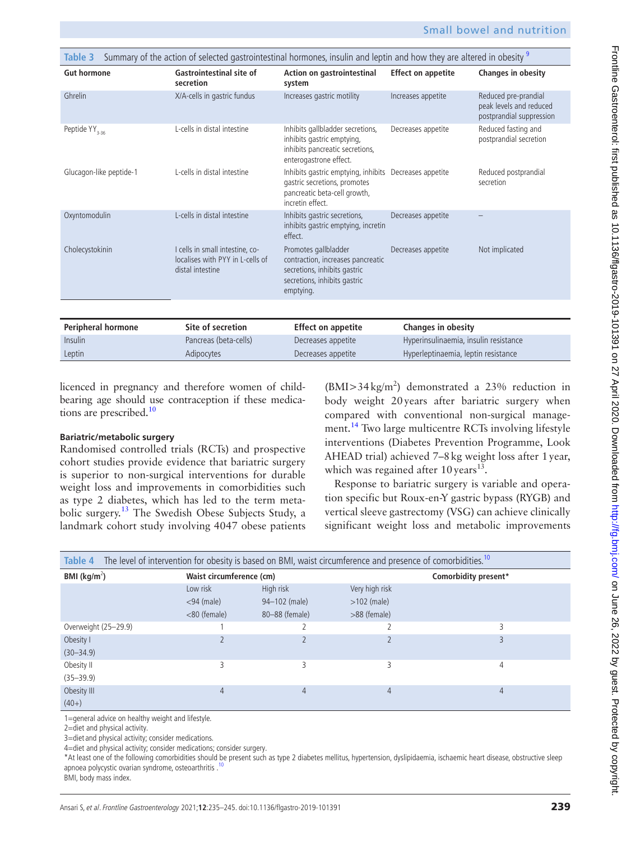<span id="page-4-0"></span>

| Summary of the action of selected gastrointestinal hormones, insulin and leptin and how they are altered in obesity 9<br>Table 3 |                                                                                         |                                                                                                                                            |                                       |                                                                             |  |
|----------------------------------------------------------------------------------------------------------------------------------|-----------------------------------------------------------------------------------------|--------------------------------------------------------------------------------------------------------------------------------------------|---------------------------------------|-----------------------------------------------------------------------------|--|
| <b>Gut hormone</b>                                                                                                               | Gastrointestinal site of<br>secretion                                                   | Action on gastrointestinal<br>system                                                                                                       | <b>Effect on appetite</b>             | <b>Changes in obesity</b>                                                   |  |
| Ghrelin                                                                                                                          | X/A-cells in gastric fundus                                                             | Increases gastric motility                                                                                                                 | Increases appetite                    | Reduced pre-prandial<br>peak levels and reduced<br>postprandial suppression |  |
| Peptide YY <sub>3-36</sub>                                                                                                       | L-cells in distal intestine                                                             | Inhibits gallbladder secretions,<br>inhibits gastric emptying,<br>inhibits pancreatic secretions,<br>enterogastrone effect.                | Decreases appetite                    | Reduced fasting and<br>postprandial secretion                               |  |
| Glucagon-like peptide-1                                                                                                          | L-cells in distal intestine                                                             | Inhibits gastric emptying, inhibits Decreases appetite<br>gastric secretions, promotes<br>pancreatic beta-cell growth,<br>incretin effect. |                                       | Reduced postprandial<br>secretion                                           |  |
| Oxyntomodulin                                                                                                                    | L-cells in distal intestine                                                             | Inhibits gastric secretions,<br>inhibits gastric emptying, incretin<br>effect.                                                             | Decreases appetite                    |                                                                             |  |
| Cholecystokinin                                                                                                                  | I cells in small intestine, co-<br>localises with PYY in L-cells of<br>distal intestine | Promotes gallbladder<br>contraction, increases pancreatic<br>secretions, inhibits gastric<br>secretions, inhibits gastric<br>emptying.     | Decreases appetite                    | Not implicated                                                              |  |
|                                                                                                                                  |                                                                                         |                                                                                                                                            |                                       |                                                                             |  |
| Peripheral hormone                                                                                                               | Site of secretion                                                                       | <b>Effect on appetite</b>                                                                                                                  | <b>Changes in obesity</b>             |                                                                             |  |
| Insulin                                                                                                                          | Pancreas (beta-cells)                                                                   | Decreases appetite                                                                                                                         | Hyperinsulinaemia, insulin resistance |                                                                             |  |
| Leptin                                                                                                                           | Adipocytes                                                                              | Decreases appetite                                                                                                                         | Hyperleptinaemia, leptin resistance   |                                                                             |  |

licenced in pregnancy and therefore women of childbearing age should use contraception if these medications are prescribed. $10$ 

#### **Bariatric/metabolic surgery**

Randomised controlled trials (RCTs) and prospective cohort studies provide evidence that bariatric surgery is superior to non-surgical interventions for durable weight loss and improvements in comorbidities such as type 2 diabetes, which has led to the term metabolic surgery[.13](#page-10-8) The Swedish Obese Subjects Study, a landmark cohort study involving 4047 obese patients

 $(BMI > 34 \text{ kg/m}^2)$  demonstrated a 23% reduction in body weight 20years after bariatric surgery when compared with conventional non-surgical management.<sup>14</sup> Two large multicentre RCTs involving lifestyle interventions (Diabetes Prevention Programme, Look AHEAD trial) achieved 7–8kg weight loss after 1year, which was regained after  $10 \text{ years}^{13}$ .

Response to bariatric surgery is variable and operation specific but Roux-en-Y gastric bypass (RYGB) and vertical sleeve gastrectomy (VSG) can achieve clinically significant weight loss and metabolic improvements

<span id="page-4-1"></span>

| The level of intervention for obesity is based on BMI, waist circumference and presence of comorbidities. <sup>10</sup><br>Table 4 |               |                |                |                      |  |
|------------------------------------------------------------------------------------------------------------------------------------|---------------|----------------|----------------|----------------------|--|
| BMI ( $\text{kg/m}^2$ )<br>Waist circumference (cm)                                                                                |               |                |                | Comorbidity present* |  |
|                                                                                                                                    | Low risk      | High risk      | Very high risk |                      |  |
|                                                                                                                                    | $<$ 94 (male) | 94-102 (male)  | $>102$ (male)  |                      |  |
|                                                                                                                                    | <80 (female)  | 80-88 (female) | >88 (female)   |                      |  |
| Overweight (25-29.9)                                                                                                               |               |                |                | 3                    |  |
| Obesity I                                                                                                                          |               |                |                | 3                    |  |
| $(30 - 34.9)$                                                                                                                      |               |                |                |                      |  |
| Obesity II                                                                                                                         | 3             | 3              | 3              | 4                    |  |
| $(35 - 39.9)$                                                                                                                      |               |                |                |                      |  |
| Obesity III                                                                                                                        | 4             | 4              | 4              | 4                    |  |
| $(40+)$                                                                                                                            |               |                |                |                      |  |

1=general advice on healthy weight and lifestyle.

2=diet and physical activity.

3=diet and physical activity; consider medications.

4=diet and physical activity; consider medications; consider surgery.

\*At least one of the following comorbidities should be present such as type 2 diabetes mellitus, hypertension, dyslipidaemia, ischaemic heart disease, obstructive sleep apnoea polycystic ovarian syndrome, osteoarthritis .

BMI, body mass index.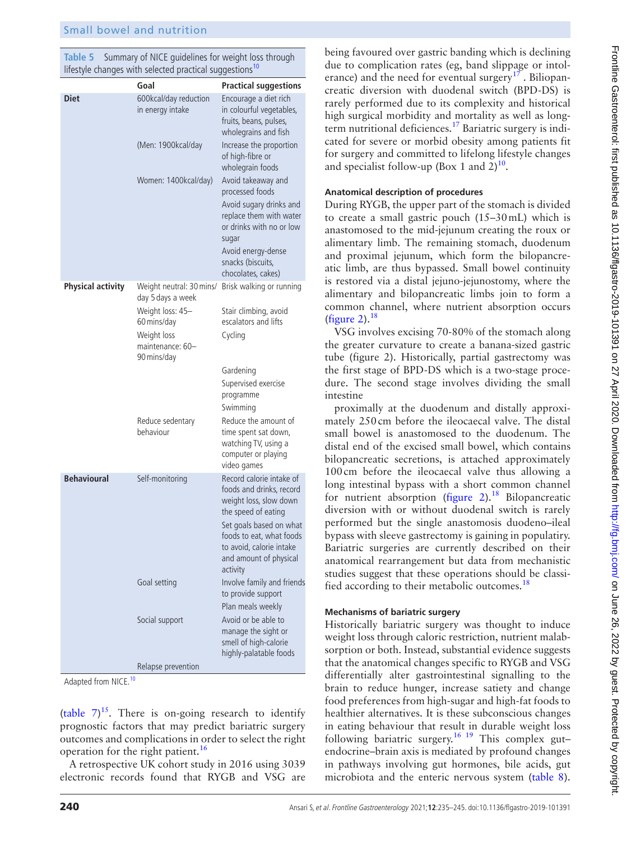<span id="page-5-0"></span>**Table 5** Summary of NICE guidelines for weight loss through lifestyle changes with selected practical suggestions<sup>[10](#page-10-5)</sup>

|                          | Goal                                           | <b>Practical suggestions</b>                                                                                                                 |
|--------------------------|------------------------------------------------|----------------------------------------------------------------------------------------------------------------------------------------------|
| <b>Diet</b>              | 600kcal/day reduction<br>in energy intake      | Encourage a diet rich<br>in colourful vegetables,<br>fruits, beans, pulses,<br>wholegrains and fish                                          |
|                          | (Men: 1900kcal/day                             | Increase the proportion<br>of high-fibre or<br>wholegrain foods                                                                              |
|                          | Women: 1400kcal/day)                           | Avoid takeaway and<br>processed foods                                                                                                        |
|                          |                                                | Avoid sugary drinks and<br>replace them with water<br>or drinks with no or low<br>sugar                                                      |
|                          |                                                | Avoid energy-dense<br>snacks (biscuits,<br>chocolates, cakes)                                                                                |
| <b>Physical activity</b> | day 5 days a week                              | Weight neutral: 30 mins/ Brisk walking or running                                                                                            |
|                          | Weight loss: 45-<br>60 mins/day                | Stair climbing, avoid<br>escalators and lifts                                                                                                |
|                          | Weight loss<br>maintenance: 60-<br>90 mins/day | Cycling                                                                                                                                      |
|                          |                                                | Gardening                                                                                                                                    |
|                          |                                                | Supervised exercise<br>programme                                                                                                             |
|                          |                                                | Swimming                                                                                                                                     |
|                          | Reduce sedentary<br>behaviour                  | Reduce the amount of<br>time spent sat down,<br>watching TV, using a<br>computer or playing<br>video games                                   |
| <b>Behavioural</b>       | Self-monitoring                                | Record calorie intake of<br>foods and drinks, record<br>weight loss, slow down                                                               |
|                          |                                                | the speed of eating<br>Set goals based on what<br>foods to eat, what foods<br>to avoid, calorie intake<br>and amount of physical<br>activity |
|                          | Goal setting                                   | Involve family and friends<br>to provide support                                                                                             |
|                          |                                                | Plan meals weekly                                                                                                                            |
|                          | Social support                                 | Avoid or be able to<br>manage the sight or<br>smell of high-calorie<br>highly-palatable foods                                                |
|                          | Relapse prevention                             |                                                                                                                                              |

Adapted from NICE.<sup>[10](#page-10-5)</sup>

([table](#page-6-1)  $7)^{15}$ . There is on-going research to identify prognostic factors that may predict bariatric surgery outcomes and complications in order to select the right operation for the right patient.<sup>[16](#page-10-11)</sup>

A retrospective UK cohort study in 2016 using 3039 electronic records found that RYGB and VSG are

being favoured over gastric banding which is declining due to complication rates (eg, band slippage or intol-erance) and the need for eventual surgery<sup>[17](#page-10-12)</sup>. Biliopancreatic diversion with duodenal switch (BPD-DS) is rarely performed due to its complexity and historical high surgical morbidity and mortality as well as longterm nutritional deficiences.[17](#page-10-12) Bariatric surgery is indicated for severe or morbid obesity among patients fit for surgery and committed to lifelong lifestyle changes and specialist follow-up (Box 1 and  $2)^{10}$  $2)^{10}$  $2)^{10}$ .

# **Anatomical description of procedures**

During RYGB, the upper part of the stomach is divided to create a small gastric pouch (15–30mL) which is anastomosed to the mid-jejunum creating the roux or alimentary limb. The remaining stomach, duodenum and proximal jejunum, which form the bilopancreatic limb, are thus bypassed. Small bowel continuity is restored via a distal jejuno-jejunostomy, where the alimentary and bilopancreatic limbs join to form a common channel, where nutrient absorption occurs [\(figure](#page-7-0) 2). $18$ 

VSG involves excising 70-80% of the stomach along the greater curvature to create a banana-sized gastric tube (figure 2). Historically, partial gastrectomy was the first stage of BPD-DS which is a two-stage procedure. The second stage involves dividing the small intestine

proximally at the duodenum and distally approximately 250cm before the ileocaecal valve. The distal small bowel is anastomosed to the duodenum. The distal end of the excised small bowel, which contains bilopancreatic secretions, is attached approximately 100cm before the ileocaecal valve thus allowing a long intestinal bypass with a short common channel for nutrient absorption [\(figure](#page-7-0)  $2$ ).<sup>18</sup> Bilopancreatic diversion with or without duodenal switch is rarely performed but the single anastomosis duodeno–ileal bypass with sleeve gastrectomy is gaining in populatiry. Bariatric surgeries are currently described on their anatomical rearrangement but data from mechanistic studies suggest that these operations should be classified according to their metabolic outcomes.<sup>18</sup>

# **Mechanisms of bariatric surgery**

Historically bariatric surgery was thought to induce weight loss through caloric restriction, nutrient malabsorption or both. Instead, substantial evidence suggests that the anatomical changes specific to RYGB and VSG differentially alter gastrointestinal signalling to the brain to reduce hunger, increase satiety and change food preferences from high-sugar and high-fat foods to healthier alternatives. It is these subconscious changes in eating behaviour that result in durable weight loss following bariatric surgery.<sup>16 19</sup> This complex gut– endocrine–brain axis is mediated by profound changes in pathways involving gut hormones, bile acids, gut microbiota and the enteric nervous system [\(table](#page-7-1) 8).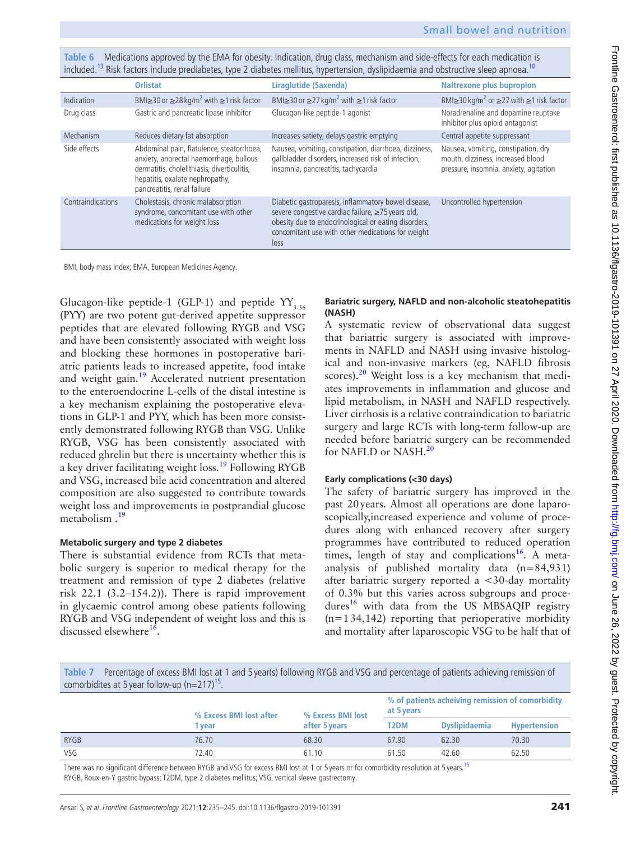<span id="page-6-0"></span>**Table 6** Medications approved by the EMA for obesity. Indication, drug class, mechanism and side-effects for each medication is included.<sup>13</sup> Risk factors include prediabetes, type 2 diabetes mellitus, hypertension, dyslipidaemia and obstructive sleep apnoea.<sup>10</sup>

|                   | <b>Orlistat</b>                                                                                                                                                                                       | Liraglutide (Saxenda)                                                                                                                                                                                                         | <b>Naltrexone plus bupropion</b>                                                                                   |
|-------------------|-------------------------------------------------------------------------------------------------------------------------------------------------------------------------------------------------------|-------------------------------------------------------------------------------------------------------------------------------------------------------------------------------------------------------------------------------|--------------------------------------------------------------------------------------------------------------------|
| Indication        | BMI $\geq$ 30 or $\geq$ 28 kg/m <sup>2</sup> with $\geq$ 1 risk factor                                                                                                                                | BMI $\geq$ 30 or $\geq$ 27 kg/m <sup>2</sup> with $\geq$ 1 risk factor                                                                                                                                                        | BMI $\geq$ 30 kg/m <sup>2</sup> or $\geq$ 27 with $\geq$ 1 risk factor                                             |
| Drug class        | Gastric and pancreatic lipase inhibitor                                                                                                                                                               | Glucagon-like peptide-1 agonist                                                                                                                                                                                               | Noradrenaline and dopamine reuptake<br>inhibitor plus opioid antagonist                                            |
| Mechanism         | Reduces dietary fat absorption                                                                                                                                                                        | Increases satiety, delays gastric emptying                                                                                                                                                                                    | Central appetite suppressant                                                                                       |
| Side effects      | Abdominal pain, flatulence, steatorrhoea,<br>anxiety, anorectal haemorrhage, bullous<br>dermatitis, cholelithiasis, diverticulitis,<br>hepatitis, oxalate nephropathy,<br>pancreatitis, renal failure | Nausea, vomiting, constipation, diarrhoea, dizziness,<br>gallbladder disorders, increased risk of infection,<br>insomnia, pancreatitis, tachycardia                                                                           | Nausea, vomiting, constipation, dry<br>mouth, dizziness, increased blood<br>pressure, insomnia, anxiety, agitation |
| Contraindications | Cholestasis, chronic malabsorption<br>syndrome, concomitant use with other<br>medications for weight loss                                                                                             | Diabetic gastroparesis, inflammatory bowel disease,<br>severe congestive cardiac failure, ≥75 years old,<br>obesity due to endocrinological or eating disorders,<br>concomitant use with other medications for weight<br>loss | Uncontrolled hypertension                                                                                          |

BMI, body mass index; EMA, European Medicines Agency.

Glucagon-like peptide-1 (GLP-1) and peptide  $YY_{3.36}$ (PYY) are two potent gut-derived appetite suppressor peptides that are elevated following RYGB and VSG and have been consistently associated with weight loss and blocking these hormones in postoperative bariatric patients leads to increased appetite, food intake and weight gain.[19](#page-10-14) Accelerated nutrient presentation to the enteroendocrine L-cells of the distal intestine is a key mechanism explaining the postoperative elevations in GLP-1 and PYY, which has been more consistently demonstrated following RYGB than VSG. Unlike RYGB, VSG has been consistently associated with reduced ghrelin but there is uncertainty whether this is a key driver facilitating weight loss.<sup>[19](#page-10-14)</sup> Following RYGB and VSG, increased bile acid concentration and altered composition are also suggested to contribute towards weight loss and improvements in postprandial glucose metabolism.<sup>19</sup>

# **Metabolic surgery and type 2 diabetes**

There is substantial evidence from RCTs that metabolic surgery is superior to medical therapy for the treatment and remission of type 2 diabetes (relative risk 22.1 (3.2–154.2)). There is rapid improvement in glycaemic control among obese patients following RYGB and VSG independent of weight loss and this is discussed elsewhere<sup>[16](#page-10-11)</sup>.

# **Bariatric surgery, NAFLD and non-alcoholic steatohepatitis (NASH)**

A systematic review of observational data suggest that bariatric surgery is associated with improvements in NAFLD and NASH using invasive histological and non-invasive markers (eg, NAFLD fibrosis scores). $20$  Weight loss is a key mechanism that mediates improvements in inflammation and glucose and lipid metabolism, in NASH and NAFLD respectively. Liver cirrhosis is a relative contraindication to bariatric surgery and large RCTs with long-term follow-up are needed before bariatric surgery can be recommended for NAFLD or NASH.<sup>[20](#page-10-15)</sup>

# **Early complications (<30 days)**

The safety of bariatric surgery has improved in the past 20years. Almost all operations are done laparoscopically,increased experience and volume of procedures along with enhanced recovery after surgery programmes have contributed to reduced operation times, length of stay and complications<sup>[16](#page-10-11)</sup>. A metaanalysis of published mortality data (n=84,931) after bariatric surgery reported a <30-day mortality of 0.3% but this varies across subgroups and proce-dures<sup>[16](#page-10-11)</sup> with data from the US MBSAQIP registry  $(n=134,142)$  reporting that perioperative morbidity and mortality after laparoscopic VSG to be half that of

<span id="page-6-1"></span>**Table 7** Percentage of excess BMI lost at 1 and 5 year(s) following RYGB and VSG and percentage of patients achieving remission of comorbidites at 5 year follow-up  $(n=217)^{15}$ .

|             | % Excess BMI lost after | % Excess BMI lost | % of patients acheiving remission of comorbidity<br>at 5 years |                      |                     |
|-------------|-------------------------|-------------------|----------------------------------------------------------------|----------------------|---------------------|
|             | after 5 years<br>1 vear |                   | T2DM                                                           | <b>Dyslipidaemia</b> | <b>Hypertension</b> |
| <b>RYGB</b> | 76.70                   | 68.30             | 67.90                                                          | 62.30                | 70.30               |
| <b>VSG</b>  | 72.40                   | 61.10             | 61.50                                                          | 42.60                | 62.50               |
|             |                         |                   |                                                                |                      |                     |

There was no significant difference between RYGB and VSG for excess BMI lost at 1 or 5 years or for comorbidity resolution at 5 years.<sup>[15](#page-10-10)</sup> RYGB, Roux-en-Y gastric bypass; T2DM, type 2 diabetes mellitus; VSG, vertical sleeve gastrectomy.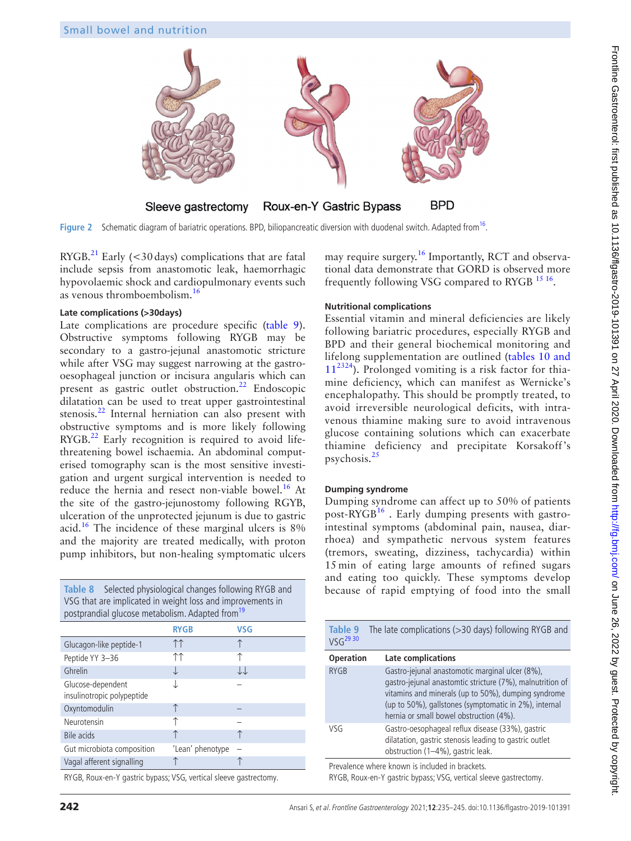

Figure 2 Schematic diagram of bariatric operations. BPD, biliopancreatic diversion with duodenal switch. Adapted from<sup>[16](#page-10-11)</sup>.

 $RYGB.<sup>21</sup>$  $RYGB.<sup>21</sup>$  $RYGB.<sup>21</sup>$  Early (<30 days) complications that are fatal include sepsis from anastomotic leak, haemorrhagic hypovolaemic shock and cardiopulmonary events such as venous thromboembolism.[16](#page-10-11)

#### **Late complications (>30days)**

Late complications are procedure specific [\(table](#page-7-2) 9). Obstructive symptoms following RYGB may be secondary to a gastro-jejunal anastomotic stricture while after VSG may suggest narrowing at the gastrooesophageal junction or incisura angularis which can present as gastric outlet obstruction.<sup>[22](#page-10-18)</sup> Endoscopic dilatation can be used to treat upper gastrointestinal stenosis.<sup>22</sup> Internal herniation can also present with obstructive symptoms and is more likely following  $RYGB.<sup>22</sup>$  $RYGB.<sup>22</sup>$  $RYGB.<sup>22</sup>$  Early recognition is required to avoid lifethreatening bowel ischaemia. An abdominal computerised tomography scan is the most sensitive investigation and urgent surgical intervention is needed to reduce the hernia and resect non-viable bowel.<sup>[16](#page-10-11)</sup> At the site of the gastro-jejunostomy following RGYB, ulceration of the unprotected jejunum is due to gastric acid.[16](#page-10-11) The incidence of these marginal ulcers is 8% and the majority are treated medically, with proton pump inhibitors, but non-healing symptomatic ulcers

<span id="page-7-1"></span>**Table 8** Selected physiological changes following RYGB and VSG that are implicated in weight loss and improvements in postprandial glucose metabolism. Adapted from<sup>19</sup> **RYGB VSG** Glucagon-like peptide-1 ↑ Peptide YY 3–36 ↑↑ ↑ Ghrelin ↓ ↓ ↓ ↓ ↓↓ Glucose-dependent insulinotropic polypeptide ↓ – Oxyntomodulin ↑ Neurotensin ↑ Bile acids ↑ ↑ Gut microbiota composition <sup>'Lean'</sup> phenotype Vagal afferent signalling ↑ ↑

RYGB, Roux-en-Y gastric bypass; VSG, vertical sleeve gastrectomy.

<span id="page-7-0"></span>may require surgery.<sup>16</sup> Importantly, RCT and observational data demonstrate that GORD is observed more frequently following VSG compared to RYGB [15 16](#page-10-10).

#### **Nutritional complications**

Essential vitamin and mineral deficiencies are likely following bariatric procedures, especially RYGB and BPD and their general biochemical monitoring and lifelong supplementation are outlined (tables [10 and](#page-8-0)   $11^{2324}$  $11^{2324}$  $11^{2324}$  $11^{2324}$  $11^{2324}$ ). Prolonged vomiting is a risk factor for thiamine deficiency, which can manifest as Wernicke's encephalopathy. This should be promptly treated, to avoid irreversible neurological deficits, with intravenous thiamine making sure to avoid intravenous glucose containing solutions which can exacerbate thiamine deficiency and precipitate Korsakoff 's psychosis.<sup>[25](#page-10-21)</sup>

# **Dumping syndrome**

Dumping syndrome can affect up to 50% of patients post- $\text{RYGB}^{16}$  $\text{RYGB}^{16}$  $\text{RYGB}^{16}$ . Early dumping presents with gastrointestinal symptoms (abdominal pain, nausea, diarrhoea) and sympathetic nervous system features (tremors, sweating, dizziness, tachycardia) within 15 min of eating large amounts of refined sugars and eating too quickly. These symptoms develop because of rapid emptying of food into the small

<span id="page-7-2"></span>

| Table 9<br>VSG <sup>29 30</sup> | The late complications (>30 days) following RYGB and                                                                                                                                                                                                                    |
|---------------------------------|-------------------------------------------------------------------------------------------------------------------------------------------------------------------------------------------------------------------------------------------------------------------------|
| <b>Operation</b>                | Late complications                                                                                                                                                                                                                                                      |
| <b>RYGB</b>                     | Gastro-jejunal anastomotic marginal ulcer (8%),<br>gastro-jejunal anastomtic stricture (7%), malnutrition of<br>vitamins and minerals (up to 50%), dumping syndrome<br>(up to 50%), gallstones (symptomatic in 2%), internal<br>hernia or small bowel obstruction (4%). |
| VSG                             | Gastro-oesophageal reflux disease (33%), gastric<br>dilatation, gastric stenosis leading to gastric outlet<br>obstruction (1-4%), gastric leak.                                                                                                                         |
|                                 | Prevalence where known is included in brackets.                                                                                                                                                                                                                         |

RYGB, Roux-en-Y gastric bypass; VSG, vertical sleeve gastrectomy.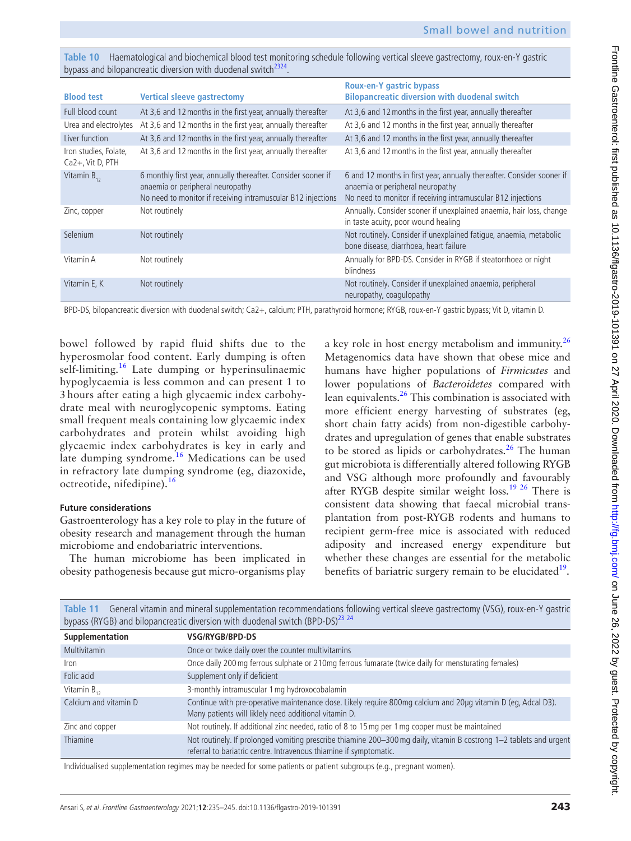<span id="page-8-0"></span>**Table 10** Haematological and biochemical blood test monitoring schedule following vertical sleeve gastrectomy, roux-en-Y gastric bypass and bilopancreatic diversion with duodenal switch<sup>[23](#page-10-19)24</sup>

| <b>Blood test</b>                            | <b>Vertical sleeve gastrectomy</b>                                                                                                                                | <b>Roux-en-Y gastric bypass</b><br><b>Bilopancreatic diversion with duodenal switch</b>                                                                                    |
|----------------------------------------------|-------------------------------------------------------------------------------------------------------------------------------------------------------------------|----------------------------------------------------------------------------------------------------------------------------------------------------------------------------|
| Full blood count                             | At 3,6 and 12 months in the first year, annually thereafter                                                                                                       | At 3,6 and 12 months in the first year, annually thereafter                                                                                                                |
| Urea and electrolytes                        | At 3,6 and 12 months in the first year, annually thereafter                                                                                                       | At 3,6 and 12 months in the first year, annually thereafter                                                                                                                |
| Liver function                               | At 3,6 and 12 months in the first year, annually thereafter                                                                                                       | At 3,6 and 12 months in the first year, annually thereafter                                                                                                                |
| Iron studies, Folate,<br>$Ca2+$ , Vit D, PTH | At 3.6 and 12 months in the first year, annually thereafter                                                                                                       | At 3.6 and 12 months in the first year, annually thereafter                                                                                                                |
| Vitamin $B_{12}$                             | 6 monthly first year, annually thereafter. Consider sooner if<br>anaemia or peripheral neuropathy<br>No need to monitor if receiving intramuscular B12 injections | 6 and 12 months in first year, annually thereafter. Consider sooner if<br>anaemia or peripheral neuropathy<br>No need to monitor if receiving intramuscular B12 injections |
| Zinc, copper                                 | Not routinely                                                                                                                                                     | Annually. Consider sooner if unexplained anaemia, hair loss, change<br>in taste acuity, poor wound healing                                                                 |
| Selenium                                     | Not routinely                                                                                                                                                     | Not routinely. Consider if unexplained fatique, anaemia, metabolic<br>bone disease, diarrhoea, heart failure                                                               |
| Vitamin A                                    | Not routinely                                                                                                                                                     | Annually for BPD-DS. Consider in RYGB if steatorrhoea or night<br>blindness                                                                                                |
| Vitamin E, K                                 | Not routinely                                                                                                                                                     | Not routinely. Consider if unexplained anaemia, peripheral<br>neuropathy, coagulopathy                                                                                     |

BPD-DS, bilopancreatic diversion with duodenal switch; Ca2+, calcium; PTH, parathyroid hormone; RYGB, roux-en-Y gastric bypass; Vit D, vitamin D.

bowel followed by rapid fluid shifts due to the hyperosmolar food content. Early dumping is often self-limiting.<sup>16</sup> Late dumping or hyperinsulinaemic hypoglycaemia is less common and can present 1 to 3 hours after eating a high glycaemic index carbohydrate meal with neuroglycopenic symptoms. Eating small frequent meals containing low glycaemic index carbohydrates and protein whilst avoiding high glycaemic index carbohydrates is key in early and late dumping syndrome.<sup>[16](#page-10-11)</sup> Medications can be used in refractory late dumping syndrome (eg, diazoxide, octreotide, nifedipine).<sup>[16](#page-10-11)</sup>

#### **Future considerations**

Gastroenterology has a key role to play in the future of obesity research and management through the human microbiome and endobariatric interventions.

The human microbiome has been implicated in obesity pathogenesis because gut micro-organisms play

a key role in host energy metabolism and immunity.<sup>[26](#page-10-22)</sup> Metagenomics data have shown that obese mice and humans have higher populations of *Firmicutes* and lower populations of *Bacteroidetes* compared with lean equivalents.[26](#page-10-22) This combination is associated with more efficient energy harvesting of substrates (eg, short chain fatty acids) from non-digestible carbohydrates and upregulation of genes that enable substrates to be stored as lipids or carbohydrates.<sup>[26](#page-10-22)</sup> The human gut microbiota is differentially altered following RYGB and VSG although more profoundly and favourably after RYGB despite similar weight loss.[19 26](#page-10-14) There is consistent data showing that faecal microbial transplantation from post-RYGB rodents and humans to recipient germ-free mice is associated with reduced adiposity and increased energy expenditure but whether these changes are essential for the metabolic benefits of bariatric surgery remain to be elucidated $19$ .

|                       | bypass (RYGB) and bilopancreatic diversion with duodenal switch (BPD-DS) <sup>23</sup> 24                                                                                                 |
|-----------------------|-------------------------------------------------------------------------------------------------------------------------------------------------------------------------------------------|
| Supplementation       | VSG/RYGB/BPD-DS                                                                                                                                                                           |
| <b>Multivitamin</b>   | Once or twice daily over the counter multivitamins                                                                                                                                        |
| Iron                  | Once daily 200 mg ferrous sulphate or 210mg ferrous fumarate (twice daily for mensturating females)                                                                                       |
| Folic acid            | Supplement only if deficient                                                                                                                                                              |
| Vitamin $B_{12}$      | 3-monthly intramuscular 1 mg hydroxocobalamin                                                                                                                                             |
| Calcium and vitamin D | Continue with pre-operative maintenance dose. Likely require 800mg calcium and 20µg vitamin D (eg, Adcal D3).<br>Many patients will liklely need additional vitamin D.                    |
| Zinc and copper       | Not routinely. If additional zinc needed, ratio of 8 to 15 mg per 1 mg copper must be maintained                                                                                          |
| Thiamine              | Not routinely. If prolonged vomiting prescribe thiamine 200-300 mg daily, vitamin B costrong 1-2 tablets and urgent<br>referral to bariatric centre. Intravenous thiamine if symptomatic. |

**Table 11** General vitamin and mineral supplementation recommendations following vertical sleeve gastrectomy (VSG), roux-en-Y gastric

Individualised supplementation regimes may be needed for some patients or patient subgroups (e.g., pregnant women).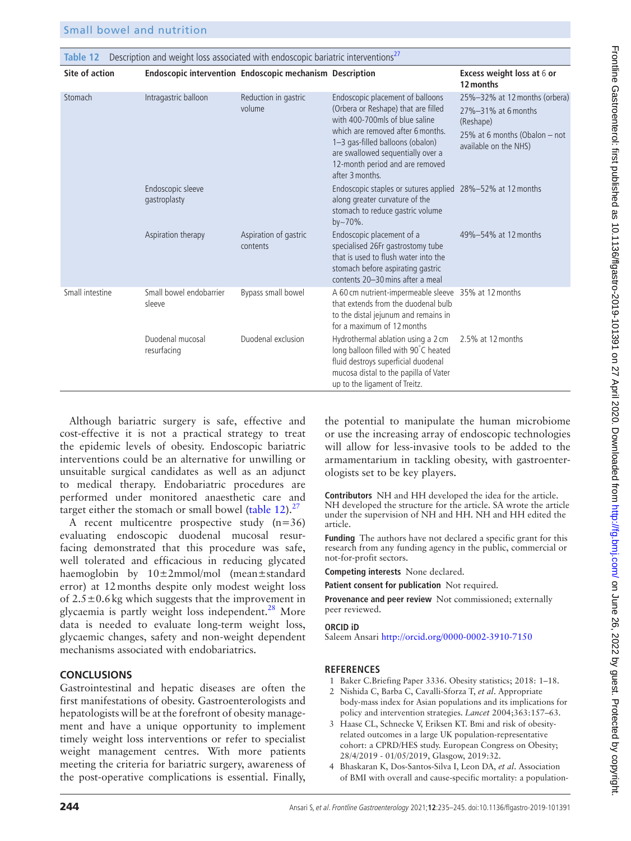<span id="page-9-4"></span>**Table 12** Description and weight loss associated with endoscopic bariatric interventions<sup>[27](#page-10-23)</sup>

**Site of action Endoscopic intervention Endoscopic mechanism Description Excess weight loss at** 6 **or**

|                 |                                   |                                   |                                                                                                                                                                                                                                                                               | 12 months                                                                                                                   |
|-----------------|-----------------------------------|-----------------------------------|-------------------------------------------------------------------------------------------------------------------------------------------------------------------------------------------------------------------------------------------------------------------------------|-----------------------------------------------------------------------------------------------------------------------------|
| Stomach         | Intragastric balloon              | Reduction in gastric<br>volume    | Endoscopic placement of balloons<br>(Orbera or Reshape) that are filled<br>with 400-700mls of blue saline<br>which are removed after 6 months.<br>1-3 gas-filled balloons (obalon)<br>are swallowed sequentially over a<br>12-month period and are removed<br>after 3 months. | 25%-32% at 12 months (orbera)<br>27%-31% at 6 months<br>(Reshape)<br>25% at 6 months (Obalon – not<br>available on the NHS) |
|                 | Endoscopic sleeve<br>gastroplasty |                                   | Endoscopic staples or sutures applied 28%-52% at 12 months<br>along greater curvature of the<br>stomach to reduce gastric volume<br>$by - 70\%$ .                                                                                                                             |                                                                                                                             |
|                 | Aspiration therapy                | Aspiration of gastric<br>contents | Endoscopic placement of a<br>specialised 26Fr gastrostomy tube<br>that is used to flush water into the<br>stomach before aspirating gastric<br>contents 20-30 mins after a meal                                                                                               | 49%-54% at 12 months                                                                                                        |
| Small intestine | Small bowel endobarrier<br>sleeve | Bypass small bowel                | A 60 cm nutrient-impermeable sleeve 35% at 12 months<br>that extends from the duodenal bulb<br>to the distal jejunum and remains in<br>for a maximum of 12 months                                                                                                             |                                                                                                                             |
|                 | Duodenal mucosal<br>resurfacing   | Duodenal exclusion                | Hydrothermal ablation using a 2 cm<br>long balloon filled with 90°C heated<br>fluid destroys superficial duodenal<br>mucosa distal to the papilla of Vater<br>up to the ligament of Treitz.                                                                                   | 2.5% at 12 months                                                                                                           |

Although bariatric surgery is safe, effective and cost-effective it is not a practical strategy to treat the epidemic levels of obesity. Endoscopic bariatric interventions could be an alternative for unwilling or unsuitable surgical candidates as well as an adjunct to medical therapy. Endobariatric procedures are performed under monitored anaesthetic care and target either the stomach or small bowel [\(table](#page-9-4)  $12$ ).<sup>[27](#page-10-23)</sup>

A recent multicentre prospective study  $(n=36)$ evaluating endoscopic duodenal mucosal resurfacing demonstrated that this procedure was safe, well tolerated and efficacious in reducing glycated haemoglobin by  $10\pm2$ mmol/mol (mean $\pm$ standard error) at 12months despite only modest weight loss of  $2.5 \pm 0.6$  kg which suggests that the improvement in glycaemia is partly weight loss independent. $28$  More data is needed to evaluate long-term weight loss, glycaemic changes, safety and non-weight dependent mechanisms associated with endobariatrics.

# **Conclusions**

Gastrointestinal and hepatic diseases are often the first manifestations of obesity. Gastroenterologists and hepatologists will be at the forefront of obesity management and have a unique opportunity to implement timely weight loss interventions or refer to specialist weight management centres. With more patients meeting the criteria for bariatric surgery, awareness of the post-operative complications is essential. Finally,

the potential to manipulate the human microbiome or use the increasing array of endoscopic technologies will allow for less-invasive tools to be added to the armamentarium in tackling obesity, with gastroenterologists set to be key players.

**Contributors** NH and HH developed the idea for the article. NH developed the structure for the article. SA wrote the article under the supervision of NH and HH. NH and HH edited the article.

**Funding** The authors have not declared a specific grant for this research from any funding agency in the public, commercial or not-for-profit sectors.

**Competing interests** None declared.

**Patient consent for publication** Not required.

**Provenance and peer review** Not commissioned; externally peer reviewed.

#### **ORCID iD**

Saleem Ansari<http://orcid.org/0000-0002-3910-7150>

# **References**

- <span id="page-9-0"></span>1 Baker C.Briefing Paper 3336. Obesity statistics; 2018: 1–18.
- <span id="page-9-1"></span>2 Nishida C, Barba C, Cavalli-Sforza T, *et al*. Appropriate body-mass index for Asian populations and its implications for policy and intervention strategies. *Lancet* 2004;363:157–63.
- <span id="page-9-2"></span>3 Haase CL, Schnecke V, Eriksen KT. Bmi and risk of obesityrelated outcomes in a large UK population-representative cohort: a CPRD/HES study. European Congress on Obesity; 28/4/2019 - 01/05/2019, Glasgow, 2019:32.
- <span id="page-9-3"></span>4 Bhaskaran K, Dos-Santos-Silva I, Leon DA, *et al*. Association of BMI with overall and cause-specific mortality: a population-